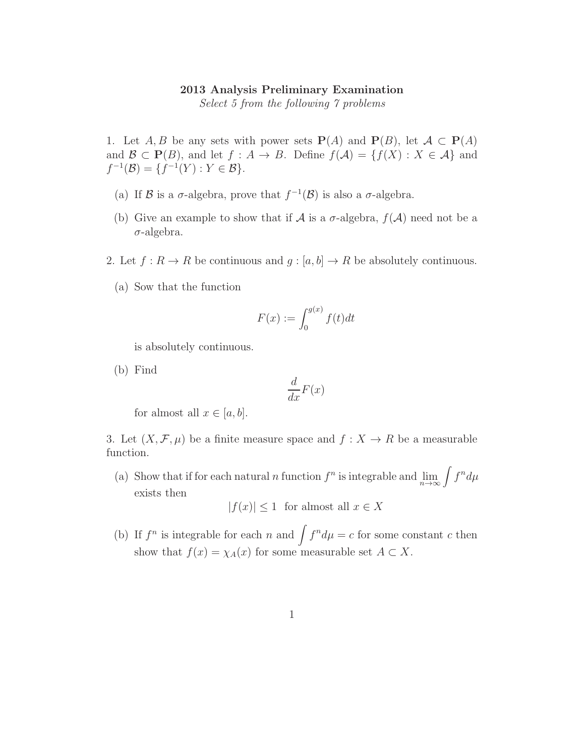## 2013 Analysis Preliminary Examination

Select 5 from the following 7 problems

1. Let  $A, B$  be any sets with power sets  $P(A)$  and  $P(B)$ , let  $A \subset P(A)$ and  $\mathcal{B} \subset \mathbf{P}(B)$ , and let  $f : A \to B$ . Define  $f(\mathcal{A}) = \{f(X) : X \in \mathcal{A}\}\$ and  $f^{-1}(\mathcal{B}) = \{f^{-1}(Y) : Y \in \mathcal{B}\}.$ 

- (a) If  $\mathcal B$  is a  $\sigma$ -algebra, prove that  $f^{-1}(\mathcal B)$  is also a  $\sigma$ -algebra.
- (b) Give an example to show that if A is a  $\sigma$ -algebra,  $f(A)$  need not be a  $\sigma$ -algebra.
- 2. Let  $f: R \to R$  be continuous and  $g: [a, b] \to R$  be absolutely continuous.
	- (a) Sow that the function

$$
F(x) := \int_0^{g(x)} f(t)dt
$$

is absolutely continuous.

(b) Find

$$
\frac{d}{dx}F(x)
$$

for almost all  $x \in [a, b]$ .

3. Let  $(X, \mathcal{F}, \mu)$  be a finite measure space and  $f : X \to R$  be a measurable function.

(a) Show that if for each natural n function  $f^n$  is integrable and  $\lim_{n\to\infty}\int f^n d\mu$ exists then

 $|f(x)| \leq 1$  for almost all  $x \in X$ 

(b) If  $f^n$  is integrable for each n and  $\int f^n d\mu = c$  for some constant c then show that  $f(x) = \chi_A(x)$  for some measurable set  $A \subset X$ .